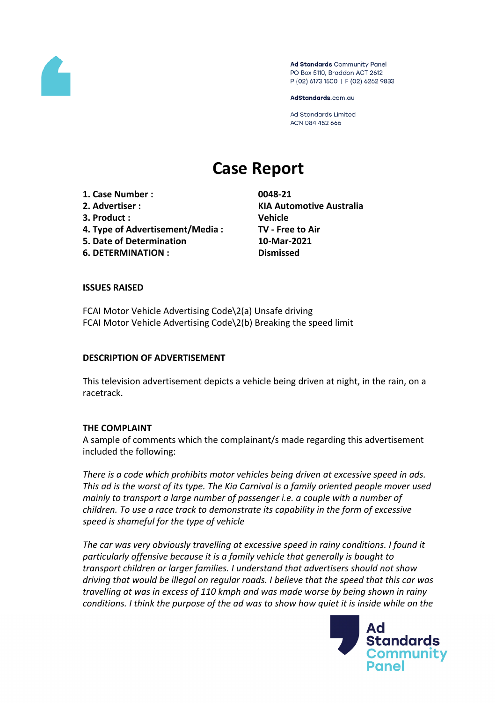

Ad Standards Community Panel PO Box 5110, Braddon ACT 2612 P (02) 6173 1500 | F (02) 6262 9833

AdStandards.com.au

**Ad Standards Limited** ACN 084 452 666

# **Case Report**

**1. Case Number : 0048-21 2. Advertiser : KIA Automotive Australia 3. Product : Vehicle 4. Type of Advertisement/Media : TV - Free to Air 5. Date of Determination 10-Mar-2021**

**6. DETERMINATION : Dismissed**

### **ISSUES RAISED**

FCAI Motor Vehicle Advertising Code\2(a) Unsafe driving FCAI Motor Vehicle Advertising Code\2(b) Breaking the speed limit

#### **DESCRIPTION OF ADVERTISEMENT**

This television advertisement depicts a vehicle being driven at night, in the rain, on a racetrack.

#### **THE COMPLAINT**

A sample of comments which the complainant/s made regarding this advertisement included the following:

*There is a code which prohibits motor vehicles being driven at excessive speed in ads. This ad is the worst of its type. The Kia Carnival is a family oriented people mover used mainly to transport a large number of passenger i.e. a couple with a number of children. To use a race track to demonstrate its capability in the form of excessive speed is shameful for the type of vehicle*

*The car was very obviously travelling at excessive speed in rainy conditions. I found it particularly offensive because it is a family vehicle that generally is bought to transport children or larger families. I understand that advertisers should not show driving that would be illegal on regular roads. I believe that the speed that this car was travelling at was in excess of 110 kmph and was made worse by being shown in rainy conditions. I think the purpose of the ad was to show how quiet it is inside while on the*

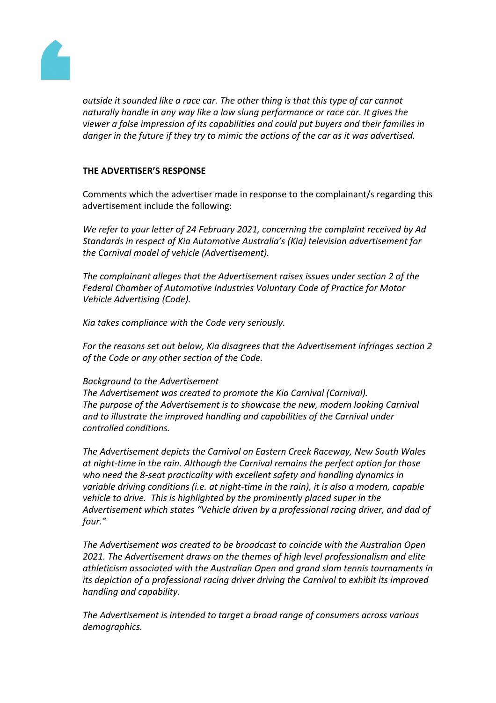

*outside it sounded like a race car. The other thing is that this type of car cannot naturally handle in any way like a low slung performance or race car. It gives the viewer a false impression of its capabilities and could put buyers and their families in danger in the future if they try to mimic the actions of the car as it was advertised.*

## **THE ADVERTISER'S RESPONSE**

Comments which the advertiser made in response to the complainant/s regarding this advertisement include the following:

*We refer to your letter of 24 February 2021, concerning the complaint received by Ad Standards in respect of Kia Automotive Australia's (Kia) television advertisement for the Carnival model of vehicle (Advertisement).*

*The complainant alleges that the Advertisement raises issues under section 2 of the Federal Chamber of Automotive Industries Voluntary Code of Practice for Motor Vehicle Advertising (Code).*

*Kia takes compliance with the Code very seriously.*

*For the reasons set out below, Kia disagrees that the Advertisement infringes section 2 of the Code or any other section of the Code.*

### *Background to the Advertisement*

*The Advertisement was created to promote the Kia Carnival (Carnival). The purpose of the Advertisement is to showcase the new, modern looking Carnival and to illustrate the improved handling and capabilities of the Carnival under controlled conditions.*

*The Advertisement depicts the Carnival on Eastern Creek Raceway, New South Wales at night-time in the rain. Although the Carnival remains the perfect option for those who need the 8-seat practicality with excellent safety and handling dynamics in variable driving conditions (i.e. at night-time in the rain), it is also a modern, capable vehicle to drive. This is highlighted by the prominently placed super in the Advertisement which states "Vehicle driven by a professional racing driver, and dad of four."* 

*The Advertisement was created to be broadcast to coincide with the Australian Open 2021. The Advertisement draws on the themes of high level professionalism and elite athleticism associated with the Australian Open and grand slam tennis tournaments in its depiction of a professional racing driver driving the Carnival to exhibit its improved handling and capability.*

*The Advertisement is intended to target a broad range of consumers across various demographics.*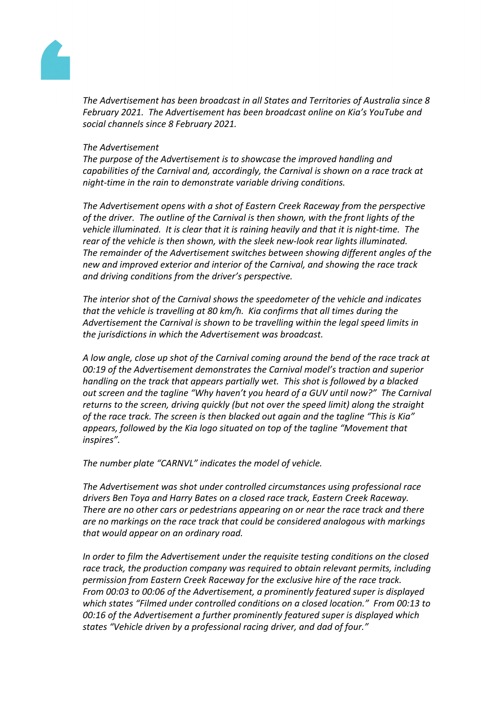

*The Advertisement has been broadcast in all States and Territories of Australia since 8 February 2021. The Advertisement has been broadcast online on Kia's YouTube and social channels since 8 February 2021.*

#### *The Advertisement*

*The purpose of the Advertisement is to showcase the improved handling and capabilities of the Carnival and, accordingly, the Carnival is shown on a race track at night-time in the rain to demonstrate variable driving conditions.*

*The Advertisement opens with a shot of Eastern Creek Raceway from the perspective of the driver. The outline of the Carnival is then shown, with the front lights of the vehicle illuminated. It is clear that it is raining heavily and that it is night-time. The rear of the vehicle is then shown, with the sleek new-look rear lights illuminated. The remainder of the Advertisement switches between showing different angles of the new and improved exterior and interior of the Carnival, and showing the race track and driving conditions from the driver's perspective.* 

*The interior shot of the Carnival shows the speedometer of the vehicle and indicates that the vehicle is travelling at 80 km/h. Kia confirms that all times during the Advertisement the Carnival is shown to be travelling within the legal speed limits in the jurisdictions in which the Advertisement was broadcast.*

*A low angle, close up shot of the Carnival coming around the bend of the race track at 00:19 of the Advertisement demonstrates the Carnival model's traction and superior handling on the track that appears partially wet. This shot is followed by a blacked out screen and the tagline "Why haven't you heard of a GUV until now?" The Carnival returns to the screen, driving quickly (but not over the speed limit) along the straight of the race track. The screen is then blacked out again and the tagline "This is Kia" appears, followed by the Kia logo situated on top of the tagline "Movement that inspires".*

*The number plate "CARNVL" indicates the model of vehicle.* 

*The Advertisement was shot under controlled circumstances using professional race drivers Ben Toya and Harry Bates on a closed race track, Eastern Creek Raceway. There are no other cars or pedestrians appearing on or near the race track and there are no markings on the race track that could be considered analogous with markings that would appear on an ordinary road.*

*In order to film the Advertisement under the requisite testing conditions on the closed race track, the production company was required to obtain relevant permits, including permission from Eastern Creek Raceway for the exclusive hire of the race track. From 00:03 to 00:06 of the Advertisement, a prominently featured super is displayed which states "Filmed under controlled conditions on a closed location." From 00:13 to 00:16 of the Advertisement a further prominently featured super is displayed which states "Vehicle driven by a professional racing driver, and dad of four."*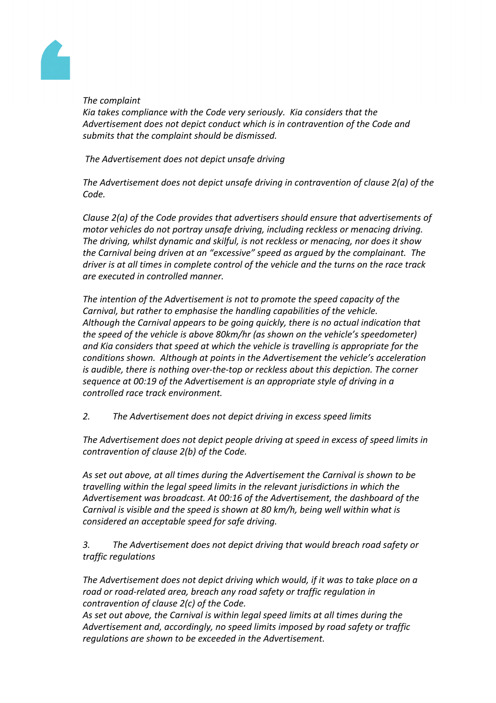

*The complaint*

*Kia takes compliance with the Code very seriously. Kia considers that the Advertisement does not depict conduct which is in contravention of the Code and submits that the complaint should be dismissed.*

*The Advertisement does not depict unsafe driving*

*The Advertisement does not depict unsafe driving in contravention of clause 2(a) of the Code.*

*Clause 2(a) of the Code provides that advertisers should ensure that advertisements of motor vehicles do not portray unsafe driving, including reckless or menacing driving. The driving, whilst dynamic and skilful, is not reckless or menacing, nor does it show the Carnival being driven at an "excessive" speed as argued by the complainant. The driver is at all times in complete control of the vehicle and the turns on the race track are executed in controlled manner.* 

*The intention of the Advertisement is not to promote the speed capacity of the Carnival, but rather to emphasise the handling capabilities of the vehicle. Although the Carnival appears to be going quickly, there is no actual indication that the speed of the vehicle is above 80km/hr (as shown on the vehicle's speedometer) and Kia considers that speed at which the vehicle is travelling is appropriate for the conditions shown. Although at points in the Advertisement the vehicle's acceleration is audible, there is nothing over-the-top or reckless about this depiction. The corner sequence at 00:19 of the Advertisement is an appropriate style of driving in a controlled race track environment.* 

*2. The Advertisement does not depict driving in excess speed limits*

*The Advertisement does not depict people driving at speed in excess of speed limits in contravention of clause 2(b) of the Code.*

*As set out above, at all times during the Advertisement the Carnival is shown to be travelling within the legal speed limits in the relevant jurisdictions in which the Advertisement was broadcast. At 00:16 of the Advertisement, the dashboard of the Carnival is visible and the speed is shown at 80 km/h, being well within what is considered an acceptable speed for safe driving.* 

*3. The Advertisement does not depict driving that would breach road safety or traffic regulations*

*The Advertisement does not depict driving which would, if it was to take place on a road or road-related area, breach any road safety or traffic regulation in contravention of clause 2(c) of the Code.*

*As set out above, the Carnival is within legal speed limits at all times during the Advertisement and, accordingly, no speed limits imposed by road safety or traffic regulations are shown to be exceeded in the Advertisement.*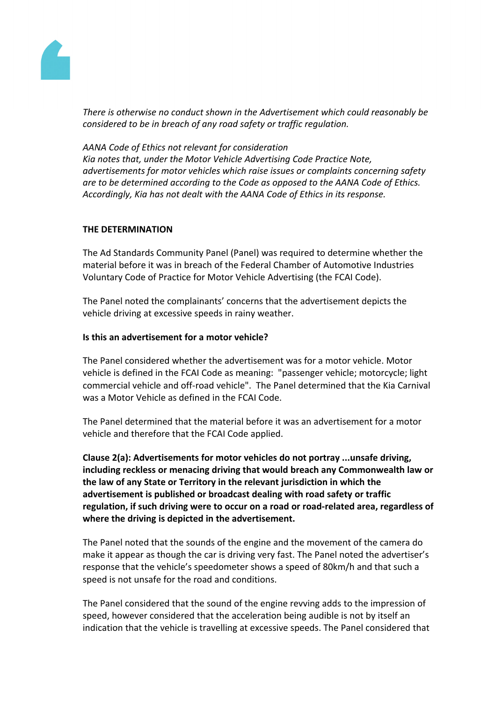

*There is otherwise no conduct shown in the Advertisement which could reasonably be considered to be in breach of any road safety or traffic regulation.*

*AANA Code of Ethics not relevant for consideration Kia notes that, under the Motor Vehicle Advertising Code Practice Note, advertisements for motor vehicles which raise issues or complaints concerning safety are to be determined according to the Code as opposed to the AANA Code of Ethics. Accordingly, Kia has not dealt with the AANA Code of Ethics in its response.*

# **THE DETERMINATION**

The Ad Standards Community Panel (Panel) was required to determine whether the material before it was in breach of the Federal Chamber of Automotive Industries Voluntary Code of Practice for Motor Vehicle Advertising (the FCAI Code).

The Panel noted the complainants' concerns that the advertisement depicts the vehicle driving at excessive speeds in rainy weather.

# **Is this an advertisement for a motor vehicle?**

The Panel considered whether the advertisement was for a motor vehicle. Motor vehicle is defined in the FCAI Code as meaning: "passenger vehicle; motorcycle; light commercial vehicle and off-road vehicle". The Panel determined that the Kia Carnival was a Motor Vehicle as defined in the FCAI Code.

The Panel determined that the material before it was an advertisement for a motor vehicle and therefore that the FCAI Code applied.

**Clause 2(a): Advertisements for motor vehicles do not portray ...unsafe driving, including reckless or menacing driving that would breach any Commonwealth law or the law of any State or Territory in the relevant jurisdiction in which the advertisement is published or broadcast dealing with road safety or traffic regulation, if such driving were to occur on a road or road-related area, regardless of where the driving is depicted in the advertisement.**

The Panel noted that the sounds of the engine and the movement of the camera do make it appear as though the car is driving very fast. The Panel noted the advertiser's response that the vehicle's speedometer shows a speed of 80km/h and that such a speed is not unsafe for the road and conditions.

The Panel considered that the sound of the engine revving adds to the impression of speed, however considered that the acceleration being audible is not by itself an indication that the vehicle is travelling at excessive speeds. The Panel considered that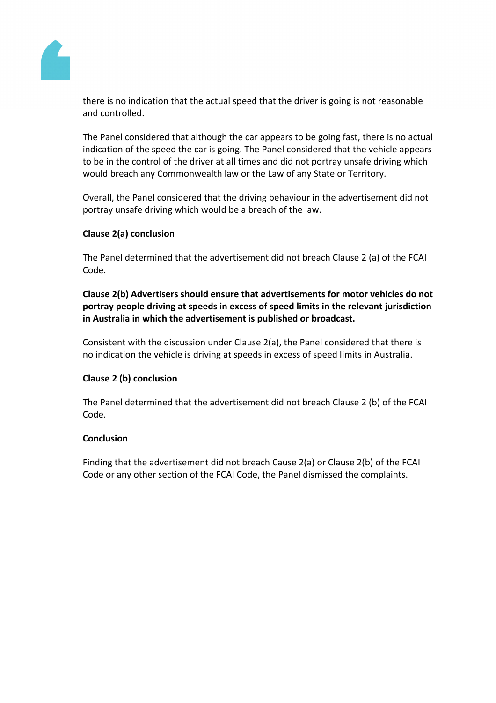

there is no indication that the actual speed that the driver is going is not reasonable and controlled.

The Panel considered that although the car appears to be going fast, there is no actual indication of the speed the car is going. The Panel considered that the vehicle appears to be in the control of the driver at all times and did not portray unsafe driving which would breach any Commonwealth law or the Law of any State or Territory.

Overall, the Panel considered that the driving behaviour in the advertisement did not portray unsafe driving which would be a breach of the law.

# **Clause 2(a) conclusion**

The Panel determined that the advertisement did not breach Clause 2 (a) of the FCAI Code.

# **Clause 2(b) Advertisers should ensure that advertisements for motor vehicles do not portray people driving at speeds in excess of speed limits in the relevant jurisdiction in Australia in which the advertisement is published or broadcast.**

Consistent with the discussion under Clause 2(a), the Panel considered that there is no indication the vehicle is driving at speeds in excess of speed limits in Australia.

# **Clause 2 (b) conclusion**

The Panel determined that the advertisement did not breach Clause 2 (b) of the FCAI Code.

### **Conclusion**

Finding that the advertisement did not breach Cause 2(a) or Clause 2(b) of the FCAI Code or any other section of the FCAI Code, the Panel dismissed the complaints.